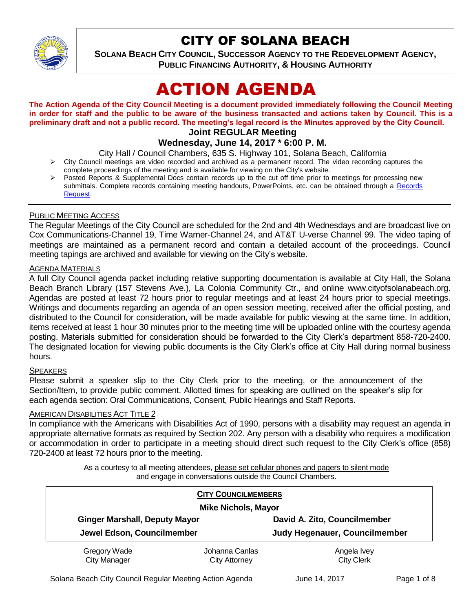

# CITY OF SOLANA BEACH

**SOLANA BEACH CITY COUNCIL, SUCCESSOR AGENCY TO THE REDEVELOPMENT AGENCY, PUBLIC FINANCING AUTHORITY, & HOUSING AUTHORITY** 

# ACTION AGENDA

**The Action Agenda of the City Council Meeting is a document provided immediately following the Council Meeting in order for staff and the public to be aware of the business transacted and actions taken by Council. This is a preliminary draft and not a public record. The meeting's legal record is the Minutes approved by the City Council.**

# **Joint REGULAR Meeting**

# **Wednesday, June 14, 2017 \* 6:00 P. M.**

City Hall / Council Chambers, 635 S. Highway 101, Solana Beach, California

- $\triangleright$  City Council meetings are video recorded and archived as a permanent record. The video recording captures the complete proceedings of the meeting and is available for viewing on the City's website.
- Posted Reports & Supplemental Docs contain records up to the cut off time prior to meetings for processing new submittals. Complete records containing meeting handouts, PowerPoints, etc. can be obtained through a Records [Request.](http://www.ci.solana-beach.ca.us/index.asp?SEC=F5D45D10-70CE-4291-A27C-7BD633FC6742&Type=B_BASIC)

#### PUBLIC MEETING ACCESS

The Regular Meetings of the City Council are scheduled for the 2nd and 4th Wednesdays and are broadcast live on Cox Communications-Channel 19, Time Warner-Channel 24, and AT&T U-verse Channel 99. The video taping of meetings are maintained as a permanent record and contain a detailed account of the proceedings. Council meeting tapings are archived and available for viewing on the City's website.

### AGENDA MATERIALS

A full City Council agenda packet including relative supporting documentation is available at City Hall, the Solana Beach Branch Library (157 Stevens Ave.), La Colonia Community Ctr., and online www.cityofsolanabeach.org. Agendas are posted at least 72 hours prior to regular meetings and at least 24 hours prior to special meetings. Writings and documents regarding an agenda of an open session meeting, received after the official posting, and distributed to the Council for consideration, will be made available for public viewing at the same time. In addition, items received at least 1 hour 30 minutes prior to the meeting time will be uploaded online with the courtesy agenda posting. Materials submitted for consideration should be forwarded to the City Clerk's department 858-720-2400. The designated location for viewing public documents is the City Clerk's office at City Hall during normal business hours.

#### **SPEAKERS**

Please submit a speaker slip to the City Clerk prior to the meeting, or the announcement of the Section/Item, to provide public comment. Allotted times for speaking are outlined on the speaker's slip for each agenda section: Oral Communications, Consent, Public Hearings and Staff Reports.

#### AMERICAN DISABILITIES ACT TITLE 2

In compliance with the Americans with Disabilities Act of 1990, persons with a disability may request an agenda in appropriate alternative formats as required by Section 202. Any person with a disability who requires a modification or accommodation in order to participate in a meeting should direct such request to the City Clerk's office (858) 720-2400 at least 72 hours prior to the meeting.

> As a courtesy to all meeting attendees, please set cellular phones and pagers to silent mode and engage in conversations outside the Council Chambers.

| <b>CITY COUNCILMEMBERS</b><br><b>Mike Nichols, Mayor</b> |                                        |                                  |
|----------------------------------------------------------|----------------------------------------|----------------------------------|
|                                                          |                                        |                                  |
| Jewel Edson, Councilmember                               |                                        | Judy Hegenauer, Councilmember    |
| Gregory Wade<br><b>City Manager</b>                      | Johanna Canlas<br><b>City Attorney</b> | Angela Ivey<br><b>City Clerk</b> |

Solana Beach City Council Regular Meeting Action Agenda June 14, 2017 Page 1 of 8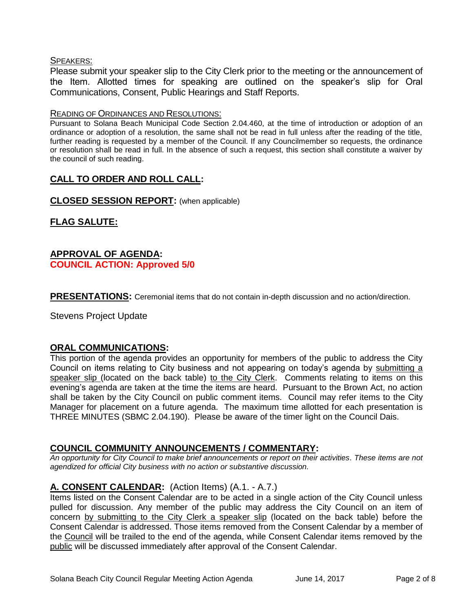#### SPEAKERS:

Please submit your speaker slip to the City Clerk prior to the meeting or the announcement of the Item. Allotted times for speaking are outlined on the speaker's slip for Oral Communications, Consent, Public Hearings and Staff Reports.

#### READING OF ORDINANCES AND RESOLUTIONS:

Pursuant to Solana Beach Municipal Code Section 2.04.460, at the time of introduction or adoption of an ordinance or adoption of a resolution, the same shall not be read in full unless after the reading of the title, further reading is requested by a member of the Council. If any Councilmember so requests, the ordinance or resolution shall be read in full. In the absence of such a request, this section shall constitute a waiver by the council of such reading.

# **CALL TO ORDER AND ROLL CALL:**

**CLOSED SESSION REPORT:** (when applicable)

# **FLAG SALUTE:**

# **APPROVAL OF AGENDA: COUNCIL ACTION: Approved 5/0**

**PRESENTATIONS:** Ceremonial items that do not contain in-depth discussion and no action/direction.

Stevens Project Update

# **ORAL COMMUNICATIONS:**

This portion of the agenda provides an opportunity for members of the public to address the City Council on items relating to City business and not appearing on today's agenda by submitting a speaker slip (located on the back table) to the City Clerk. Comments relating to items on this evening's agenda are taken at the time the items are heard. Pursuant to the Brown Act, no action shall be taken by the City Council on public comment items. Council may refer items to the City Manager for placement on a future agenda. The maximum time allotted for each presentation is THREE MINUTES (SBMC 2.04.190). Please be aware of the timer light on the Council Dais.

# **COUNCIL COMMUNITY ANNOUNCEMENTS / COMMENTARY:**

*An opportunity for City Council to make brief announcements or report on their activities. These items are not agendized for official City business with no action or substantive discussion.* 

# **A. CONSENT CALENDAR:** (Action Items) (A.1. - A.7.)

Items listed on the Consent Calendar are to be acted in a single action of the City Council unless pulled for discussion. Any member of the public may address the City Council on an item of concern by submitting to the City Clerk a speaker slip (located on the back table) before the Consent Calendar is addressed. Those items removed from the Consent Calendar by a member of the Council will be trailed to the end of the agenda, while Consent Calendar items removed by the public will be discussed immediately after approval of the Consent Calendar.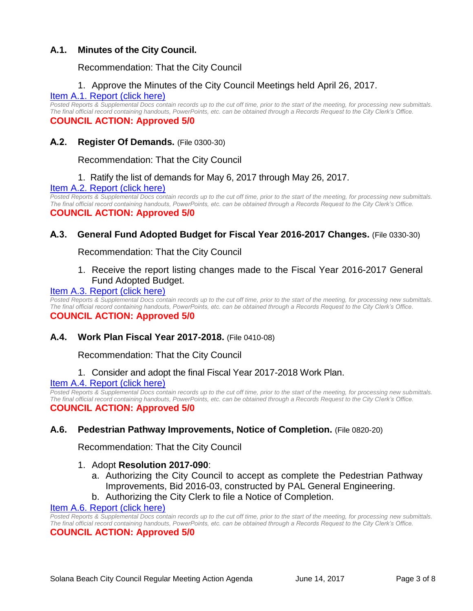# **A.1. Minutes of the City Council.**

### Recommendation: That the City Council

#### 1. Approve the Minutes of the City Council Meetings held April 26, 2017.

#### [Item A.1. Report \(click here\)](https://solanabeach.govoffice3.com/vertical/Sites/%7B840804C2-F869-4904-9AE3-720581350CE7%7D/uploads/Item_A.1._Report_(click_here)_6-14-17.PDF)

*Posted Reports & Supplemental Docs contain records up to the cut off time, prior to the start of the meeting, for processing new submittals. The final official record containing handouts, PowerPoints, etc. can be obtained through a Records Request to the City Clerk's Office.* **COUNCIL ACTION: Approved 5/0**

#### **A.2. Register Of Demands.** (File 0300-30)

Recommendation: That the City Council

1. Ratify the list of demands for May 6, 2017 through May 26, 2017.

#### [Item A.2. Report \(click here\)](https://solanabeach.govoffice3.com/vertical/Sites/%7B840804C2-F869-4904-9AE3-720581350CE7%7D/uploads/Item_A.2._Report_(click_here)_6-14-17.PDF)

*Posted Reports & Supplemental Docs contain records up to the cut off time, prior to the start of the meeting, for processing new submittals. The final official record containing handouts, PowerPoints, etc. can be obtained through a Records Request to the City Clerk's Office.* **COUNCIL ACTION: Approved 5/0**

# **A.3. General Fund Adopted Budget for Fiscal Year 2016-2017 Changes.** (File 0330-30)

Recommendation: That the City Council

1. Receive the report listing changes made to the Fiscal Year 2016-2017 General Fund Adopted Budget.

#### [Item A.3. Report \(click here\)](https://solanabeach.govoffice3.com/vertical/Sites/%7B840804C2-F869-4904-9AE3-720581350CE7%7D/uploads/Item_A.3._Report_(click_here)_6-14-17.PDF)

*Posted Reports & Supplemental Docs contain records up to the cut off time, prior to the start of the meeting, for processing new submittals. The final official record containing handouts, PowerPoints, etc. can be obtained through a Records Request to the City Clerk's Office.*

#### **COUNCIL ACTION: Approved 5/0**

#### **A.4. Work Plan Fiscal Year 2017-2018.** (File 0410-08)

Recommendation: That the City Council

1. Consider and adopt the final Fiscal Year 2017-2018 Work Plan.

#### [Item A.4. Report \(click here\)](https://solanabeach.govoffice3.com/vertical/Sites/%7B840804C2-F869-4904-9AE3-720581350CE7%7D/uploads/Item_A.4._Report_(click_here)_6-14-2017.PDF)

*Posted Reports & Supplemental Docs contain records up to the cut off time, prior to the start of the meeting, for processing new submittals. The final official record containing handouts, PowerPoints, etc. can be obtained through a Records Request to the City Clerk's Office.* **COUNCIL ACTION: Approved 5/0**

#### **A.6. Pedestrian Pathway Improvements, Notice of Completion.** (File 0820-20)

Recommendation: That the City Council

#### 1. Adopt **Resolution 2017-090**:

- a. Authorizing the City Council to accept as complete the Pedestrian Pathway Improvements, Bid 2016-03, constructed by PAL General Engineering.
- b. Authorizing the City Clerk to file a Notice of Completion.

#### [Item A.6. Report \(click here\)](https://solanabeach.govoffice3.com/vertical/Sites/%7B840804C2-F869-4904-9AE3-720581350CE7%7D/uploads/Item_A.6._Report_(click_here)_6-14-17.PDF)

*Posted Reports & Supplemental Docs contain records up to the cut off time, prior to the start of the meeting, for processing new submittals. The final official record containing handouts, PowerPoints, etc. can be obtained through a Records Request to the City Clerk's Office.*

#### **COUNCIL ACTION: Approved 5/0**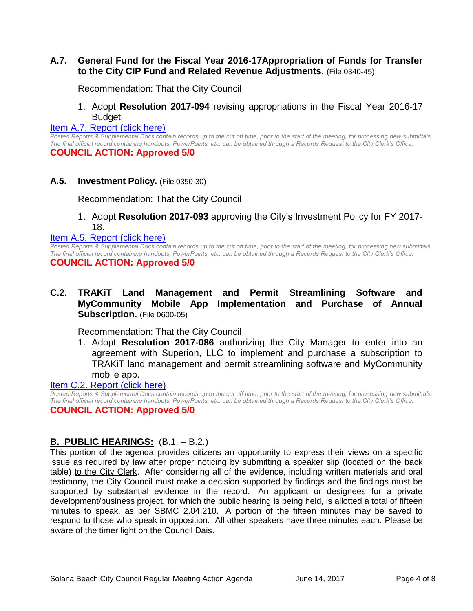#### **A.7. General Fund for the Fiscal Year 2016-17Appropriation of Funds for Transfer to the City CIP Fund and Related Revenue Adjustments.** (File 0340-45)

Recommendation: That the City Council

#### 1. Adopt **Resolution 2017-094** revising appropriations in the Fiscal Year 2016-17 Budget.

#### [Item A.7. Report \(click here\)](https://solanabeach.govoffice3.com/vertical/Sites/%7B840804C2-F869-4904-9AE3-720581350CE7%7D/uploads/Item_A.7._Report_(click_here)_6-14-17.PDF)

*Posted Reports & Supplemental Docs contain records up to the cut off time, prior to the start of the meeting, for processing new submittals. The final official record containing handouts, PowerPoints, etc. can be obtained through a Records Request to the City Clerk's Office.* **COUNCIL ACTION: Approved 5/0**

**A.5. Investment Policy.** (File 0350-30)

Recommendation: That the City Council

1. Adopt **Resolution 2017-093** approving the City's Investment Policy for FY 2017- 18.

[Item A.5. Report \(click here\)](https://solanabeach.govoffice3.com/vertical/Sites/%7B840804C2-F869-4904-9AE3-720581350CE7%7D/uploads/Item_A.5._Report_(click_here)_6-14-17.PDF)

*Posted Reports & Supplemental Docs contain records up to the cut off time, prior to the start of the meeting, for processing new submittals. The final official record containing handouts, PowerPoints, etc. can be obtained through a Records Request to the City Clerk's Office.*

#### **COUNCIL ACTION: Approved 5/0**

**C.2. TRAKiT Land Management and Permit Streamlining Software and MyCommunity Mobile App Implementation and Purchase of Annual Subscription.** (File 0600-05)

Recommendation: That the City Council

1. Adopt **Resolution 2017-086** authorizing the City Manager to enter into an agreement with Superion, LLC to implement and purchase a subscription to TRAKiT land management and permit streamlining software and MyCommunity mobile app.

#### [Item C.2. Report \(click here\)](https://solanabeach.govoffice3.com/vertical/Sites/%7B840804C2-F869-4904-9AE3-720581350CE7%7D/uploads/Item_C.2._Report_(click_here)_6-14-17.PDF)

*Posted Reports & Supplemental Docs contain records up to the cut off time, prior to the start of the meeting, for processing new submittals. The final official record containing handouts, PowerPoints, etc. can be obtained through a Records Request to the City Clerk's Office.* **COUNCIL ACTION: Approved 5/0**

#### **B. PUBLIC HEARINGS:** (B.1. – B.2.)

This portion of the agenda provides citizens an opportunity to express their views on a specific issue as required by law after proper noticing by submitting a speaker slip (located on the back table) to the City Clerk. After considering all of the evidence, including written materials and oral testimony, the City Council must make a decision supported by findings and the findings must be supported by substantial evidence in the record. An applicant or designees for a private development/business project, for which the public hearing is being held, is allotted a total of fifteen minutes to speak, as per SBMC 2.04.210. A portion of the fifteen minutes may be saved to respond to those who speak in opposition. All other speakers have three minutes each. Please be aware of the timer light on the Council Dais.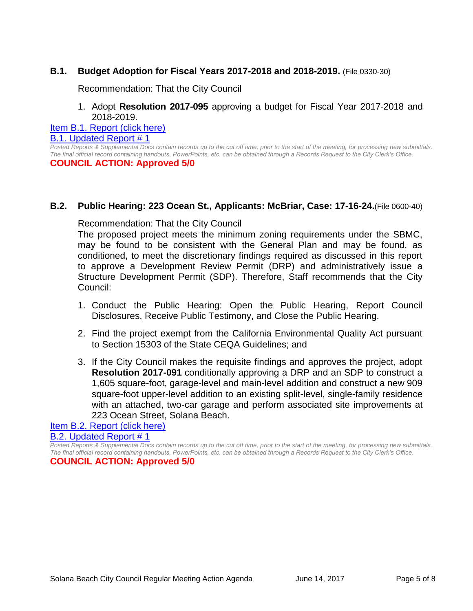### **B.1. Budget Adoption for Fiscal Years 2017-2018 and 2018-2019.** (File 0330-30)

Recommendation: That the City Council

#### 1. Adopt **Resolution 2017-095** approving a budget for Fiscal Year 2017-2018 and 2018-2019.

[Item B.1. Report \(click here\)](https://solanabeach.govoffice3.com/vertical/Sites/%7B840804C2-F869-4904-9AE3-720581350CE7%7D/uploads/Item_B.1._Report_(click_here)_6-14-17.PDF)

B.1. Updated Report  $# 1$ 

*Posted Reports & Supplemental Docs contain records up to the cut off time, prior to the start of the meeting, for processing new submittals. The final official record containing handouts, PowerPoints, etc. can be obtained through a Records Request to the City Clerk's Office.*

#### **COUNCIL ACTION: Approved 5/0**

#### **B.2. Public Hearing: 223 Ocean St., Applicants: McBriar, Case: 17-16-24.**(File 0600-40)

Recommendation: That the City Council

The proposed project meets the minimum zoning requirements under the SBMC, may be found to be consistent with the General Plan and may be found, as conditioned, to meet the discretionary findings required as discussed in this report to approve a Development Review Permit (DRP) and administratively issue a Structure Development Permit (SDP). Therefore, Staff recommends that the City Council:

- 1. Conduct the Public Hearing: Open the Public Hearing, Report Council Disclosures, Receive Public Testimony, and Close the Public Hearing.
- 2. Find the project exempt from the California Environmental Quality Act pursuant to Section 15303 of the State CEQA Guidelines; and
- 3. If the City Council makes the requisite findings and approves the project, adopt **Resolution 2017-091** conditionally approving a DRP and an SDP to construct a 1,605 square-foot, garage-level and main-level addition and construct a new 909 square-foot upper-level addition to an existing split-level, single-family residence with an attached, two-car garage and perform associated site improvements at 223 Ocean Street, Solana Beach.

#### [Item B.2. Report \(click here\)](https://solanabeach.govoffice3.com/vertical/Sites/%7B840804C2-F869-4904-9AE3-720581350CE7%7D/uploads/Item_B.2._Report_(click_here)_6-14-17.PDF) [B.2. Updated Report # 1](https://solanabeach.govoffice3.com/vertical/Sites/%7B840804C2-F869-4904-9AE3-720581350CE7%7D/uploads/B.2._Updated_Report__1_-_6-14-17.pdf)

*Posted Reports & Supplemental Docs contain records up to the cut off time, prior to the start of the meeting, for processing new submittals. The final official record containing handouts, PowerPoints, etc. can be obtained through a Records Request to the City Clerk's Office.* **COUNCIL ACTION: Approved 5/0**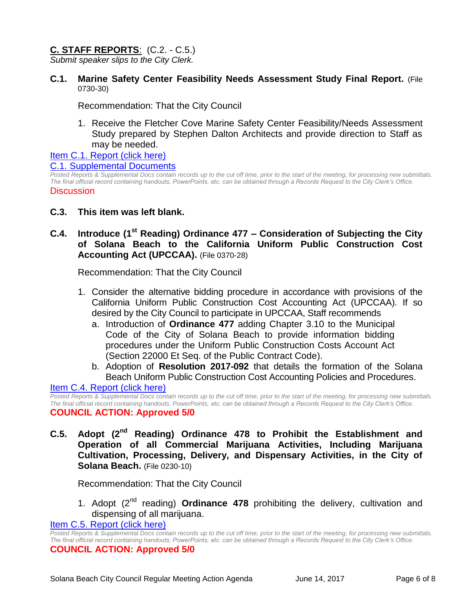# **C. STAFF REPORTS**: (C.2. - C.5.)

*Submit speaker slips to the City Clerk.*

**C.1. Marine Safety Center Feasibility Needs Assessment Study Final Report.** (File 0730-30)

Recommendation: That the City Council

1. Receive the Fletcher Cove Marine Safety Center Feasibility/Needs Assessment Study prepared by Stephen Dalton Architects and provide direction to Staff as may be needed.

# [Item C.1. Report \(click here\)](https://solanabeach.govoffice3.com/vertical/Sites/%7B840804C2-F869-4904-9AE3-720581350CE7%7D/uploads/Item_C.1._Report_(click_here)_6-14-17.PDF)

#### [C.1. Supplemental Documents](https://solanabeach.govoffice3.com/vertical/Sites/%7B840804C2-F869-4904-9AE3-720581350CE7%7D/uploads/C.1._Supplemental_Document__6-13-17.pdf)

*Posted Reports & Supplemental Docs contain records up to the cut off time, prior to the start of the meeting, for processing new submittals. The final official record containing handouts, PowerPoints, etc. can be obtained through a Records Request to the City Clerk's Office.* **Discussion** 

# **C.3. This item was left blank.**

# **C.4. Introduce (1st Reading) Ordinance 477 – Consideration of Subjecting the City of Solana Beach to the California Uniform Public Construction Cost Accounting Act (UPCCAA).** (File 0370-28)

Recommendation: That the City Council

- 1. Consider the alternative bidding procedure in accordance with provisions of the California Uniform Public Construction Cost Accounting Act (UPCCAA). If so desired by the City Council to participate in UPCCAA, Staff recommends
	- a. Introduction of **Ordinance 477** adding Chapter 3.10 to the Municipal Code of the City of Solana Beach to provide information bidding procedures under the Uniform Public Construction Costs Account Act (Section 22000 Et Seq. of the Public Contract Code).
	- b. Adoption of **Resolution 2017-092** that details the formation of the Solana Beach Uniform Public Construction Cost Accounting Policies and Procedures.

#### [Item C.4. Report \(click here\)](https://solanabeach.govoffice3.com/vertical/Sites/%7B840804C2-F869-4904-9AE3-720581350CE7%7D/uploads/Item_C.4._Report_(click_here)_6-14-17.PDF)

*Posted Reports & Supplemental Docs contain records up to the cut off time, prior to the start of the meeting, for processing new submittals. The final official record containing handouts, PowerPoints, etc. can be obtained through a Records Request to the City Clerk's Office.* **COUNCIL ACTION: Approved 5/0**

C.5. Adopt (2<sup>nd</sup> Reading) Ordinance 478 to Prohibit the Establishment and **Operation of all Commercial Marijuana Activities, Including Marijuana Cultivation, Processing, Delivery, and Dispensary Activities, in the City of Solana Beach.** (File 0230-10)

Recommendation: That the City Council

1. Adopt (2nd reading) **Ordinance 478** prohibiting the delivery, cultivation and dispensing of all marijuana.

[Item C.5. Report \(click here\)](https://solanabeach.govoffice3.com/vertical/Sites/%7B840804C2-F869-4904-9AE3-720581350CE7%7D/uploads/Item_C.5._Report_(click_here)_6-14-17.PDF)

*Posted Reports & Supplemental Docs contain records up to the cut off time, prior to the start of the meeting, for processing new submittals. The final official record containing handouts, PowerPoints, etc. can be obtained through a Records Request to the City Clerk's Office.* **COUNCIL ACTION: Approved 5/0**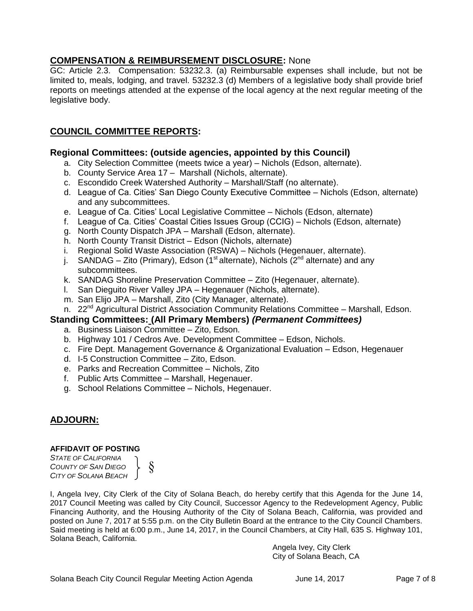# **COMPENSATION & REIMBURSEMENT DISCLOSURE:** None

GC: Article 2.3. Compensation: 53232.3. (a) Reimbursable expenses shall include, but not be limited to, meals, lodging, and travel. 53232.3 (d) Members of a legislative body shall provide brief reports on meetings attended at the expense of the local agency at the next regular meeting of the legislative body.

# **COUNCIL COMMITTEE REPORTS:**

#### **Regional Committees: (outside agencies, appointed by this Council)**

- a. City Selection Committee (meets twice a year) Nichols (Edson, alternate).
- b. County Service Area 17 Marshall (Nichols, alternate).
- c. Escondido Creek Watershed Authority Marshall/Staff (no alternate).
- d. League of Ca. Cities' San Diego County Executive Committee Nichols (Edson, alternate) and any subcommittees.
- e. League of Ca. Cities' Local Legislative Committee Nichols (Edson, alternate)
- f. League of Ca. Cities' Coastal Cities Issues Group (CCIG) Nichols (Edson, alternate)
- g. North County Dispatch JPA Marshall (Edson, alternate).
- h. North County Transit District Edson (Nichols, alternate)
- i. Regional Solid Waste Association (RSWA) Nichols (Hegenauer, alternate).
- j. SANDAG Zito (Primary), Edson (1<sup>st</sup> alternate), Nichols ( $2<sup>nd</sup>$  alternate) and any subcommittees.
- k. SANDAG Shoreline Preservation Committee Zito (Hegenauer, alternate).
- l. San Dieguito River Valley JPA Hegenauer (Nichols, alternate).
- m. San Elijo JPA Marshall, Zito (City Manager, alternate).
- n. 22<sup>nd</sup> Agricultural District Association Community Relations Committee Marshall, Edson.

# **Standing Committees: (All Primary Members)** *(Permanent Committees)*

- a. Business Liaison Committee Zito, Edson.
- b. Highway 101 / Cedros Ave. Development Committee Edson, Nichols.
- c. Fire Dept. Management Governance & Organizational Evaluation Edson, Hegenauer
- d. I-5 Construction Committee Zito, Edson.
- e. Parks and Recreation Committee Nichols, Zito
- f. Public Arts Committee Marshall, Hegenauer.
- g. School Relations Committee Nichols, Hegenauer.

# **ADJOURN:**

#### **AFFIDAVIT OF POSTING**

*STATE OF CALIFORNIA COUNTY OF SAN DIEGO CITY OF SOLANA BEACH*

§

I, Angela Ivey, City Clerk of the City of Solana Beach, do hereby certify that this Agenda for the June 14, 2017 Council Meeting was called by City Council, Successor Agency to the Redevelopment Agency, Public Financing Authority, and the Housing Authority of the City of Solana Beach, California, was provided and posted on June 7, 2017 at 5:55 p.m. on the City Bulletin Board at the entrance to the City Council Chambers. Said meeting is held at 6:00 p.m., June 14, 2017, in the Council Chambers, at City Hall, 635 S. Highway 101, Solana Beach, California.

> Angela Ivey, City Clerk City of Solana Beach, CA